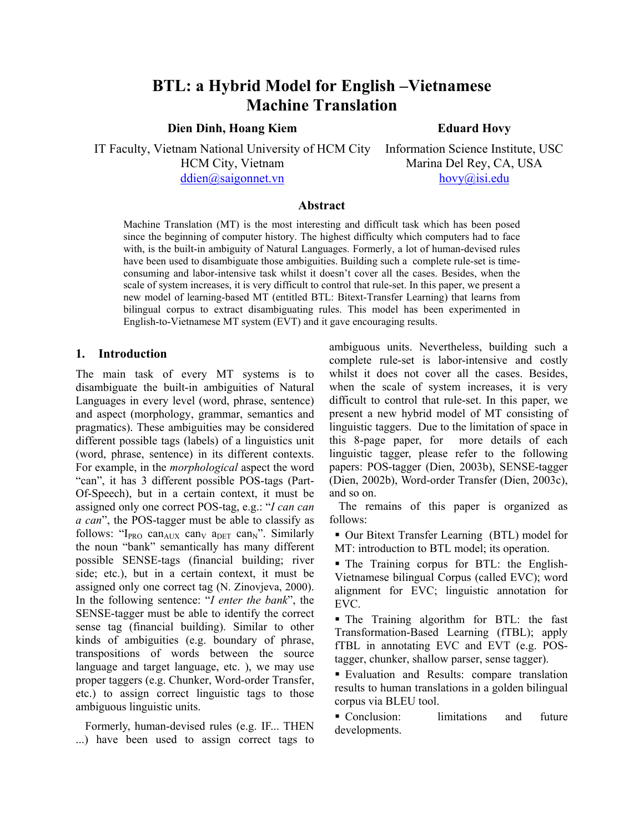# **BTL: a Hybrid Model for English –Vietnamese Machine Translation**

**Dien Dinh, Hoang Kiem** 

**Eduard Hovy** 

IT Faculty, Vietnam National University of HCM City HCM City, Vietnam

ddien@saigonnet.vn

Information Science Institute, USC Marina Del Rey, CA, USA hovy@isi.edu

#### **Abstract**

Machine Translation (MT) is the most interesting and difficult task which has been posed since the beginning of computer history. The highest difficulty which computers had to face with, is the built-in ambiguity of Natural Languages. Formerly, a lot of human-devised rules have been used to disambiguate those ambiguities. Building such a complete rule-set is timeconsuming and labor-intensive task whilst it doesn't cover all the cases. Besides, when the scale of system increases, it is very difficult to control that rule-set. In this paper, we present a new model of learning-based MT (entitled BTL: Bitext-Transfer Learning) that learns from bilingual corpus to extract disambiguating rules. This model has been experimented in English-to-Vietnamese MT system (EVT) and it gave encouraging results.

## **1. Introduction**

The main task of every MT systems is to disambiguate the built-in ambiguities of Natural Languages in every level (word, phrase, sentence) and aspect (morphology, grammar, semantics and pragmatics). These ambiguities may be considered different possible tags (labels) of a linguistics unit (word, phrase, sentence) in its different contexts. For example, in the *morphological* aspect the word "can", it has 3 different possible POS-tags (Part-Of-Speech), but in a certain context, it must be assigned only one correct POS-tag, e.g.: "*I can can a can*", the POS-tagger must be able to classify as follows: " $I_{PRO}$  can<sub>AUX</sub> can<sub>V</sub> a<sub>DET</sub> can<sub>N</sub>". Similarly the noun "bank" semantically has many different possible SENSE-tags (financial building; river side; etc.), but in a certain context, it must be assigned only one correct tag (N. Zinovjeva, 2000). In the following sentence: "*I enter the bank*", the SENSE-tagger must be able to identify the correct sense tag (financial building). Similar to other kinds of ambiguities (e.g. boundary of phrase, transpositions of words between the source language and target language, etc. ), we may use proper taggers (e.g. Chunker, Word-order Transfer, etc.) to assign correct linguistic tags to those ambiguous linguistic units.

Formerly, human-devised rules (e.g. IF... THEN ...) have been used to assign correct tags to ambiguous units. Nevertheless, building such a complete rule-set is labor-intensive and costly whilst it does not cover all the cases. Besides, when the scale of system increases, it is very difficult to control that rule-set. In this paper, we present a new hybrid model of MT consisting of linguistic taggers. Due to the limitation of space in this 8-page paper, for more details of each linguistic tagger, please refer to the following papers: POS-tagger (Dien, 2003b), SENSE-tagger (Dien, 2002b), Word-order Transfer (Dien, 2003c), and so on.

The remains of this paper is organized as follows:

 Our Bitext Transfer Learning (BTL) model for MT: introduction to BTL model; its operation.

 The Training corpus for BTL: the English-Vietnamese bilingual Corpus (called EVC); word alignment for EVC; linguistic annotation for EVC.

 The Training algorithm for BTL: the fast Transformation-Based Learning (fTBL); apply fTBL in annotating EVC and EVT (e.g. POStagger, chunker, shallow parser, sense tagger).

 Evaluation and Results: compare translation results to human translations in a golden bilingual corpus via BLEU tool.

• Conclusion: limitations and future developments.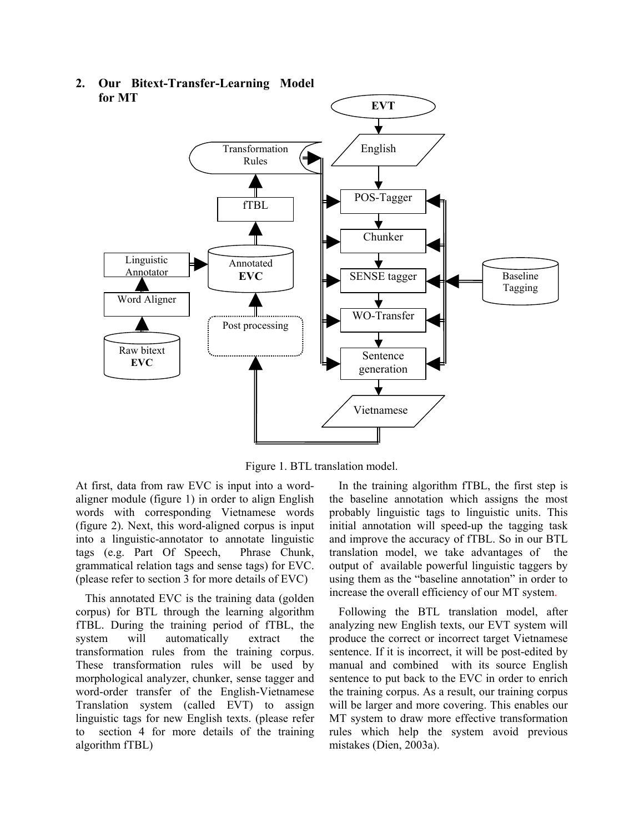

**2. Our Bitext-Transfer-Learning Model** 

Figure 1. BTL translation model.

At first, data from raw EVC is input into a wordaligner module (figure 1) in order to align English words with corresponding Vietnamese words (figure 2). Next, this word-aligned corpus is input into a linguistic-annotator to annotate linguistic tags (e.g. Part Of Speech, Phrase Chunk, grammatical relation tags and sense tags) for EVC. (please refer to section 3 for more details of EVC)

This annotated EVC is the training data (golden corpus) for BTL through the learning algorithm fTBL. During the training period of fTBL, the system will automatically extract the transformation rules from the training corpus. These transformation rules will be used by morphological analyzer, chunker, sense tagger and word-order transfer of the English-Vietnamese Translation system (called EVT) to assign linguistic tags for new English texts. (please refer to section 4 for more details of the training algorithm fTBL)

In the training algorithm fTBL, the first step is the baseline annotation which assigns the most probably linguistic tags to linguistic units. This initial annotation will speed-up the tagging task and improve the accuracy of fTBL. So in our BTL translation model, we take advantages of the output of available powerful linguistic taggers by using them as the "baseline annotation" in order to increase the overall efficiency of our MT system.

Following the BTL translation model, after analyzing new English texts, our EVT system will produce the correct or incorrect target Vietnamese sentence. If it is incorrect, it will be post-edited by manual and combined with its source English sentence to put back to the EVC in order to enrich the training corpus. As a result, our training corpus will be larger and more covering. This enables our MT system to draw more effective transformation rules which help the system avoid previous mistakes (Dien, 2003a).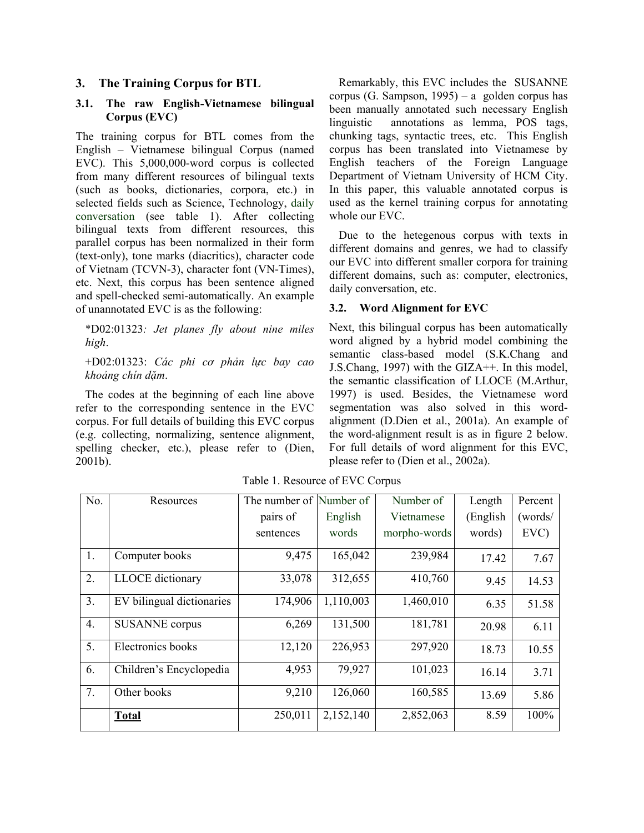# **3. The Training Corpus for BTL**

## **3.1. The raw English-Vietnamese bilingual Corpus (EVC)**

The training corpus for BTL comes from the English – Vietnamese bilingual Corpus (named EVC). This 5,000,000-word corpus is collected from many different resources of bilingual texts (such as books, dictionaries, corpora, etc.) in selected fields such as Science, Technology, daily conversation (see table 1). After collecting bilingual texts from different resources, this parallel corpus has been normalized in their form (text-only), tone marks (diacritics), character code of Vietnam (TCVN-3), character font (VN-Times), etc. Next, this corpus has been sentence aligned and spell-checked semi-automatically. An example of unannotated EVC is as the following:

\*D02:01323*: Jet planes fly about nine miles high*.

+D02:01323: *Các phi cơ phản lực bay cao khoảng chín dặm*.

The codes at the beginning of each line above refer to the corresponding sentence in the EVC corpus. For full details of building this EVC corpus (e.g. collecting, normalizing, sentence alignment, spelling checker, etc.), please refer to (Dien, 2001b).

Remarkably, this EVC includes the SUSANNE corpus (G. Sampson, 1995) – a golden corpus has been manually annotated such necessary English linguistic annotations as lemma, POS tags, chunking tags, syntactic trees, etc. This English corpus has been translated into Vietnamese by English teachers of the Foreign Language Department of Vietnam University of HCM City. In this paper, this valuable annotated corpus is used as the kernel training corpus for annotating whole our EVC.

Due to the hetegenous corpus with texts in different domains and genres, we had to classify our EVC into different smaller corpora for training different domains, such as: computer, electronics, daily conversation, etc.

#### **3.2. Word Alignment for EVC**

Next, this bilingual corpus has been automatically word aligned by a hybrid model combining the semantic class-based model (S.K.Chang and J.S.Chang, 1997) with the GIZA++. In this model, the semantic classification of LLOCE (M.Arthur, 1997) is used. Besides, the Vietnamese word segmentation was also solved in this wordalignment (D.Dien et al., 2001a). An example of the word-alignment result is as in figure 2 below. For full details of word alignment for this EVC, please refer to (Dien et al., 2002a).

| No.              | Resources                 | The number of Number of |           | Number of    | Length    | Percent |
|------------------|---------------------------|-------------------------|-----------|--------------|-----------|---------|
|                  |                           | pairs of                | English   | Vietnamese   | (English) | (words/ |
|                  |                           | sentences               | words     | morpho-words | words)    | $EVC$ ) |
| 1.               | Computer books            | 9,475                   | 165,042   | 239,984      | 17.42     | 7.67    |
| 2.               | LLOCE dictionary          | 33,078                  | 312,655   | 410,760      | 9.45      | 14.53   |
| 3.               | EV bilingual dictionaries | 174,906                 | 1,110,003 | 1,460,010    | 6.35      | 51.58   |
| $\overline{4}$ . | <b>SUSANNE</b> corpus     | 6,269                   | 131,500   | 181,781      | 20.98     | 6.11    |
| 5.               | Electronics books         | 12,120                  | 226,953   | 297,920      | 18.73     | 10.55   |
| 6.               | Children's Encyclopedia   | 4,953                   | 79,927    | 101,023      | 16.14     | 3.71    |
| 7.               | Other books               | 9,210                   | 126,060   | 160,585      | 13.69     | 5.86    |
|                  | <b>Total</b>              | 250,011                 | 2,152,140 | 2,852,063    | 8.59      | 100%    |

Table 1. Resource of EVC Corpus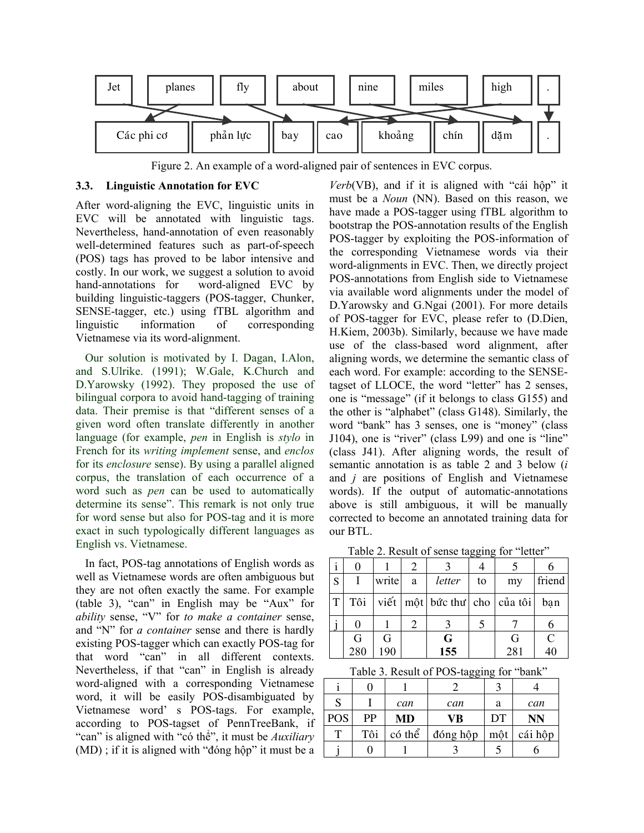

Figure 2. An example of a word-aligned pair of sentences in EVC corpus.

#### **3.3. Linguistic Annotation for EVC**

After word-aligning the EVC, linguistic units in EVC will be annotated with linguistic tags. Nevertheless, hand-annotation of even reasonably well-determined features such as part-of-speech (POS) tags has proved to be labor intensive and costly. In our work, we suggest a solution to avoid hand-annotations for word-aligned EVC by building linguistic-taggers (POS-tagger, Chunker, SENSE-tagger, etc.) using fTBL algorithm and linguistic information of corresponding Vietnamese via its word-alignment.

Our solution is motivated by I. Dagan, I.Alon, and S.Ulrike. (1991); W.Gale, K.Church and D.Yarowsky (1992). They proposed the use of bilingual corpora to avoid hand-tagging of training data. Their premise is that "different senses of a given word often translate differently in another language (for example, *pen* in English is *stylo* in French for its *writing implement* sense, and *enclos* for its *enclosure* sense). By using a parallel aligned corpus, the translation of each occurrence of a word such as *pen* can be used to automatically determine its sense". This remark is not only true for word sense but also for POS-tag and it is more exact in such typologically different languages as English vs. Vietnamese.

In fact, POS-tag annotations of English words as well as Vietnamese words are often ambiguous but they are not often exactly the same. For example (table 3), "can" in English may be "Aux" for *ability* sense, "V" for *to make a container* sense, and "N" for *a container* sense and there is hardly existing POS-tagger which can exactly POS-tag for that word "can" in all different contexts. Nevertheless, if that "can" in English is already word-aligned with a corresponding Vietnamese word, it will be easily POS-disambiguated by Vietnamese word' s POS-tags. For example, according to POS-tagset of PennTreeBank, if "can" is aligned with "có thể", it must be *Auxiliary* (MD) ; if it is aligned with "đóng hộp" it must be a

*Verb*(VB), and if it is aligned with "cái hộp" it must be a *Noun* (NN). Based on this reason, we have made a POS-tagger using fTBL algorithm to bootstrap the POS-annotation results of the English POS-tagger by exploiting the POS-information of the corresponding Vietnamese words via their word-alignments in EVC. Then, we directly project POS-annotations from English side to Vietnamese via available word alignments under the model of D.Yarowsky and G.Ngai (2001). For more details of POS-tagger for EVC, please refer to (D.Dien, H.Kiem, 2003b). Similarly, because we have made use of the class-based word alignment, after aligning words, we determine the semantic class of each word. For example: according to the SENSEtagset of LLOCE, the word "letter" has 2 senses, one is "message" (if it belongs to class G155) and the other is "alphabet" (class G148). Similarly, the word "bank" has 3 senses, one is "money" (class J104), one is "river" (class L99) and one is "line" (class J41). After aligning words, the result of semantic annotation is as table 2 and 3 below (*i* and *j* are positions of English and Vietnamese words). If the output of automatic-annotations above is still ambiguous, it will be manually corrected to become an annotated training data for our BTL.

Table 2. Result of sense tagging for "letter"

| S |     | write | a | letter                                             | to | my  | friend        |
|---|-----|-------|---|----------------------------------------------------|----|-----|---------------|
| T | Tôi |       |   | viết $ \text{môt} $ bức thư $ \text{cho} $ của tôi |    |     | ban           |
|   |     |       |   |                                                    |    |     |               |
|   | G   | G     |   | G                                                  |    | G   | $\mathcal{C}$ |
|   | 280 | 190   |   | 155                                                |    | 281 | 40            |

Table 3. Result of POS-tagging for "bank"

|            | --  |        |          |     |           |
|------------|-----|--------|----------|-----|-----------|
|            |     |        |          |     |           |
| S          |     | can    | can      | a   | can       |
| <b>POS</b> | PP  | MD     | VВ       | DT  | <b>NN</b> |
| т          | Tôi | có thể | đóng hộp | môt | cái hộp   |
|            |     |        |          |     |           |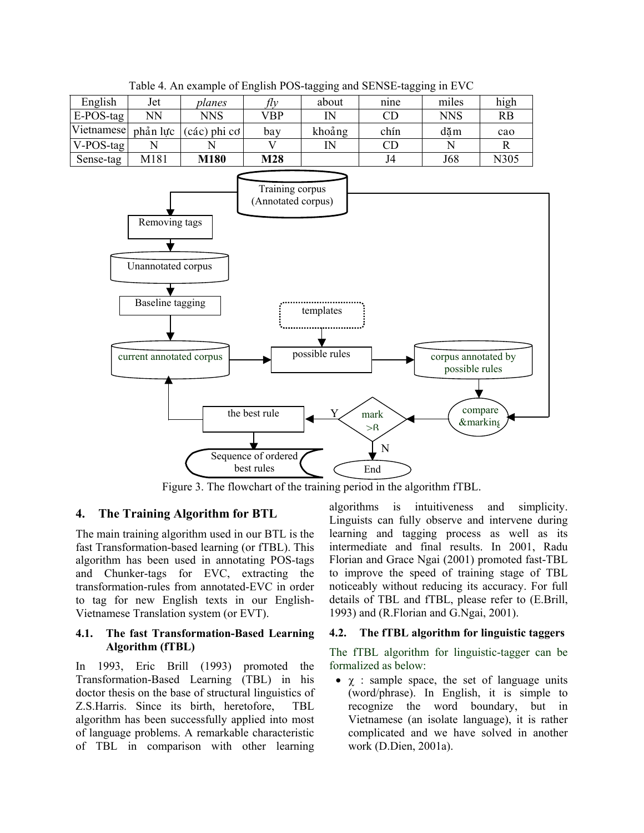|              |          |                |     | ິບ          | ັບ   | ໍ          |           |
|--------------|----------|----------------|-----|-------------|------|------------|-----------|
| English      | Jet      | planes         | flv | about       | nine | miles      | high      |
| E-POS-tag    | NN       | NNS            | VBP | $_{\rm IN}$ | CD   | <b>NNS</b> | <b>RB</b> |
| Vietnamese   | phản lưc | (các) phi cơ j | bay | khoảng      | chín | dăm        | cao       |
| $V-POS$ -tag |          |                |     | IN          | CD   |            |           |
| Sense-tag    | M181     | M180           | M28 |             | J4   | J68        | N305      |

Table 4. An example of English POS-tagging and SENSE-tagging in EVC



Figure 3. The flowchart of the training period in the algorithm fTBL.

## **4. The Training Algorithm for BTL**

The main training algorithm used in our BTL is the fast Transformation-based learning (or fTBL). This algorithm has been used in annotating POS-tags and Chunker-tags for EVC, extracting the transformation-rules from annotated-EVC in order to tag for new English texts in our English-Vietnamese Translation system (or EVT).

#### **4.1. The fast Transformation-Based Learning Algorithm (fTBL)**

In 1993, Eric Brill (1993) promoted the Transformation-Based Learning (TBL) in his doctor thesis on the base of structural linguistics of Z.S.Harris. Since its birth, heretofore, TBL algorithm has been successfully applied into most of language problems. A remarkable characteristic of TBL in comparison with other learning algorithms is intuitiveness and simplicity. Linguists can fully observe and intervene during learning and tagging process as well as its intermediate and final results. In 2001, Radu Florian and Grace Ngai (2001) promoted fast-TBL to improve the speed of training stage of TBL noticeably without reducing its accuracy. For full details of TBL and fTBL, please refer to (E.Brill, 1993) and (R.Florian and G.Ngai, 2001).

#### **4.2. The fTBL algorithm for linguistic taggers**

The fTBL algorithm for linguistic-tagger can be formalized as below:

•  $\gamma$  : sample space, the set of language units (word/phrase). In English, it is simple to recognize the word boundary, but in Vietnamese (an isolate language), it is rather complicated and we have solved in another work (D.Dien, 2001a).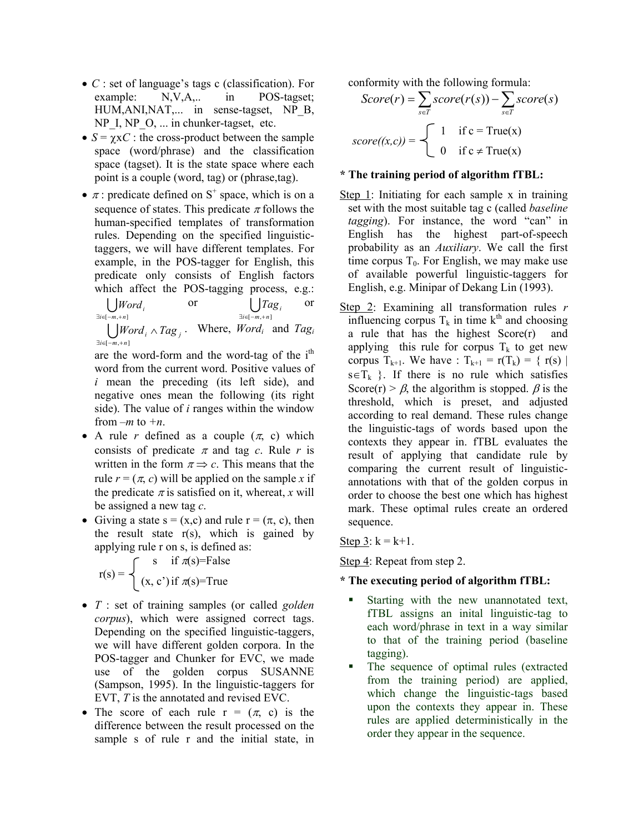- *C* : set of language's tags c (classification). For example: N,V,A,.. in POS-tagset; HUM, ANI, NAT,... in sense-tagset, NP B, NP\_I, NP\_O, ... in chunker-tagset, etc.
- $S = \gamma xC$ : the cross-product between the sample space (word/phrase) and the classification space (tagset). It is the state space where each point is a couple (word, tag) or (phrase,tag).
- $\pi$ : predicate defined on S<sup>+</sup> space, which is on a sequence of states. This predicate  $\pi$  follows the human-specified templates of transformation rules. Depending on the specified linguistictaggers, we will have different templates. For example, in the POS-tagger for English, this predicate only consists of English factors which affect the POS-tagging process, e.g.:

$$
\bigcup_{\exists i \in [-m, +n]} Word_i
$$
 or 
$$
\bigcup_{\exists i \in [-m, +n]} Tag_i
$$
 or

 $\bigcup$ *Word<sub>i</sub>*  $\land$  *Tag<sub>j</sub>*. Where, *Word<sub>i</sub>* and *Tag<sub>i</sub>*  $\exists i \in [-m, +n]$ 

are the word-form and the word-tag of the  $i<sup>th</sup>$ word from the current word. Positive values of *i* mean the preceding (its left side), and negative ones mean the following (its right side). The value of *i* ranges within the window from *–m* to *+n*.

- A rule *r* defined as a couple  $(\pi, c)$  which consists of predicate  $\pi$  and tag *c*. Rule *r* is written in the form  $\pi \Rightarrow c$ . This means that the rule  $r = (\pi, c)$  will be applied on the sample x if the predicate  $\pi$  is satisfied on it, whereat, *x* will be assigned a new tag *c*.
- Giving a state  $s = (x,c)$  and rule  $r = (\pi, c)$ , then the result state  $r(s)$ , which is gained by applying rule r on s, is defined as:

s if  $\pi(s)$ =False  $r(s) = \begin{cases} (x, c') \text{ if } \pi(s) = \text{True} \end{cases}$ 

- *T* : set of training samples (or called *golden corpus*), which were assigned correct tags. Depending on the specified linguistic-taggers, we will have different golden corpora. In the POS-tagger and Chunker for EVC, we made use of the golden corpus SUSANNE (Sampson, 1995). In the linguistic-taggers for EVT, *T* is the annotated and revised EVC.
- The score of each rule  $r = (\pi, c)$  is the difference between the result processed on the sample s of rule r and the initial state, in

conformity with the following formula:

$$
Score(r) = \sum_{s \in T} score(r(s)) - \sum_{s \in T} score(s)
$$

$$
score((x, c)) = \begin{cases} 1 & \text{if } c = True(x) \\ 0 & \text{if } c \neq True(x) \end{cases}
$$

# **\* The training period of algorithm fTBL:**

- Step 1: Initiating for each sample x in training set with the most suitable tag c (called *baseline tagging*). For instance, the word "can" in English has the highest part-of-speech probability as an *Auxiliary*. We call the first time corpus  $T_0$ . For English, we may make use of available powerful linguistic-taggers for English, e.g. Minipar of Dekang Lin (1993).
- Step 2: Examining all transformation rules *r* influencing corpus  $T_k$  in time  $k^{th}$  and choosing a rule that has the highest Score(r) and applying this rule for corpus  $T_k$  to get new corpus  $T_{k+1}$ . We have :  $T_{k+1} = r(T_k) = \{ r(s) |$  $s \in T_k$  }. If there is no rule which satisfies Score(r) >  $\beta$ , the algorithm is stopped.  $\beta$  is the threshold, which is preset, and adjusted according to real demand. These rules change the linguistic-tags of words based upon the contexts they appear in. fTBL evaluates the result of applying that candidate rule by comparing the current result of linguisticannotations with that of the golden corpus in order to choose the best one which has highest mark. These optimal rules create an ordered sequence.

Step  $3: k = k+1$ .

Step 4: Repeat from step 2.

# **\* The executing period of algorithm fTBL:**

- Starting with the new unannotated text, fTBL assigns an inital linguistic-tag to each word/phrase in text in a way similar to that of the training period (baseline tagging).
- The sequence of optimal rules (extracted from the training period) are applied, which change the linguistic-tags based upon the contexts they appear in. These rules are applied deterministically in the order they appear in the sequence.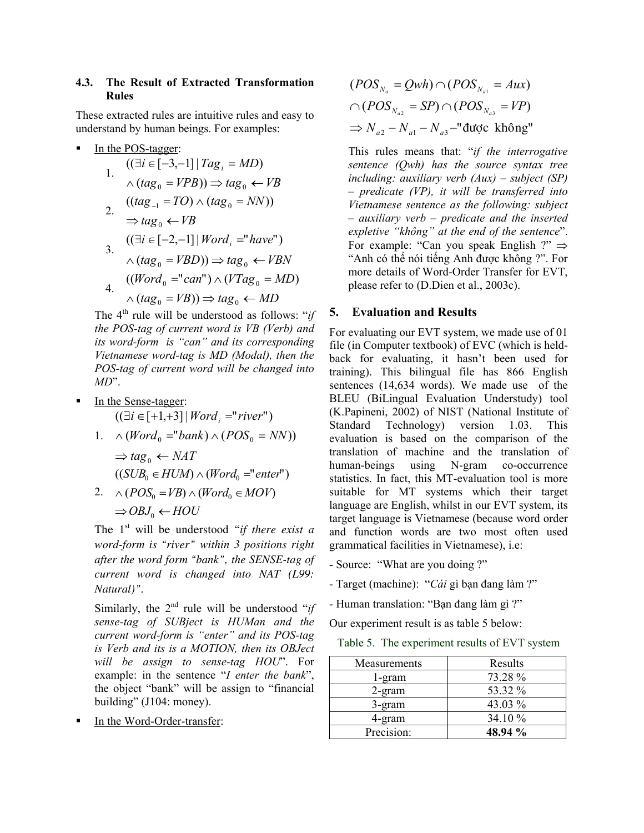## **4.3. The Result of Extracted Transformation Rules**

These extracted rules are intuitive rules and easy to understand by human beings. For examples:

In the POS-tagger:

1. 
$$
((\exists i \in [-3,-1] | Tag_i = MD))
$$
  
\n1.  $\land (tag_0 = VPB)) \Rightarrow tag_0 \leftarrow VB$   
\n2.  $((tag_{-1} = TO) \land (tag_0 = NN))$   
\n2.  $\Rightarrow tag_0 \leftarrow VB$   
\n $((\exists i \in [-2,-1] | Word_i = "have")$   
\n3.  $\land (tag_0 = VBD)) \Rightarrow tag_0 \leftarrow VBN$   
\n4.  $((Word_0 = "can") \land (VTag_0 = MD))$   
\n4.  $\land (tag_0 = VB)) \Rightarrow tag_0 \leftarrow MD$ 

The 4th rule will be understood as follows: "*if the POS-tag of current word is VB (Verb) and its word-form is "can" and its corresponding Vietnamese word-tag is MD (Modal), then the POS-tag of current word will be changed into MD*".

- In the Sense-tagger:  $((\exists i \in [+1,+3] | Word_i = "river")$ 
	- 1.  $\wedge$  (*Word*<sub>0</sub> = "*bank*)  $\wedge$  (*POS*<sub>0</sub> = *NN*))

 $\Rightarrow$  *tag*<sub>0</sub>  $\leftarrow$  *NAT*  $((SUB_0 \in HUM) \land (Word_0 = "enter")$ 

2.  $\wedge (POS_{0} = VB) \wedge (Word_{0} \in MOV)$  $\Rightarrow$  *OBJ*<sub>0</sub>  $\leftarrow$  *HOU* 

The 1<sup>st</sup> will be understood "*if there exist a word-form is "river" within 3 positions right after the word form "bank", the SENSE-tag of current word is changed into NAT (L99: Natural)".* 

Similarly, the  $2<sup>nd</sup>$  rule will be understood "*if sense-tag of SUBject is HUMan and the current word-form is "enter" and its POS-tag is Verb and its is a MOTION, then its OBJect will be assign to sense-tag HOU*". For example: in the sentence "*I enter the bank*", the object "bank" will be assign to "financial building" (J104: money).

In the Word-Order-transfer:

$$
(POS_{N_a} = Qwh) \cap (POS_{N_{a1}} = Aux)
$$
  
 
$$
\cap (POS_{N_{a2}} = SP) \cap (POS_{N_{a3}} = VP)
$$
  
\n
$$
\Rightarrow N_{a2} - N_{a1} - N_{a3} - "dudoc không"
$$

This rules means that: "*if the interrogative sentence (Qwh) has the source syntax tree including: auxiliary verb (Aux) – subject (SP) – predicate (VP), it will be transferred into Vietnamese sentence as the following: subject – auxiliary verb – predicate and the inserted expletive "không" at the end of the sentence*". For example: "Can you speak English ?"  $\Rightarrow$ "Anh có thể nói tiếng Anh được không ?". For more details of Word-Order Transfer for EVT, please refer to (D.Dien et al., 2003c).

## **5. Evaluation and Results**

For evaluating our EVT system, we made use of 01 file (in Computer textbook) of EVC (which is heldback for evaluating, it hasn't been used for training). This bilingual file has 866 English sentences (14,634 words). We made use of the BLEU (BiLingual Evaluation Understudy) tool (K.Papineni, 2002) of NIST (National Institute of Standard Technology) version 1.03. This evaluation is based on the comparison of the translation of machine and the translation of human-beings using N-gram co-occurrence statistics. In fact, this MT-evaluation tool is more suitable for MT systems which their target language are English, whilst in our EVT system, its target language is Vietnamese (because word order and function words are two most often used grammatical facilities in Vietnamese), i.e:

- Source: "What are you doing ?"

- Target (machine): "*Cái* gì bạn đang làm ?"
- Human translation: "Bạn đang làm gì ?"

Our experiment result is as table 5 below:

Table 5. The experiment results of EVT system

| Measurements | Results |
|--------------|---------|
| l-gram       | 73.28 % |
| $2$ -gram    | 53.32 % |
| 3-gram       | 43.03 % |
| 4-gram       | 34.10 % |
| Precision:   | 48.94 % |